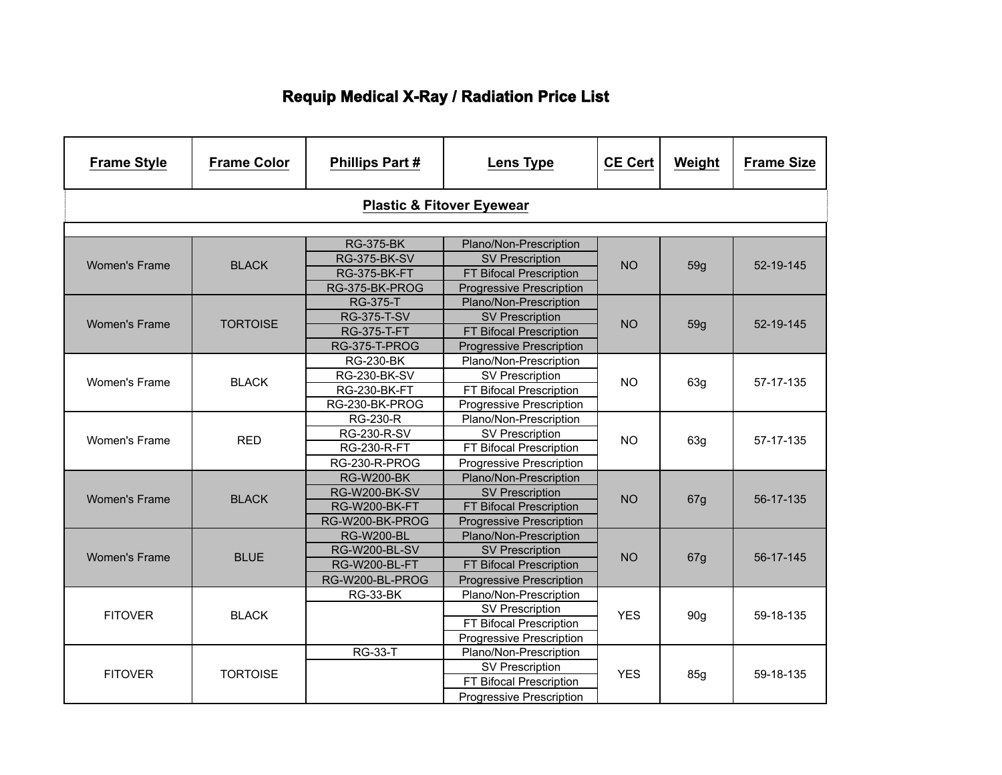## **Requip Medical X-Ray / Radiation Price List**

| <b>Frame Style</b>                   | <b>Frame Color</b> | <b>Phillips Part#</b> | <b>Lens Type</b>                | <b>CE Cert</b> | Weight          | <b>Frame Size</b> |  |  |  |
|--------------------------------------|--------------------|-----------------------|---------------------------------|----------------|-----------------|-------------------|--|--|--|
| <b>Plastic &amp; Fitover Eyewear</b> |                    |                       |                                 |                |                 |                   |  |  |  |
|                                      |                    |                       |                                 |                |                 |                   |  |  |  |
|                                      |                    | <b>RG-375-BK</b>      | Plano/Non-Prescription          |                |                 |                   |  |  |  |
| <b>Women's Frame</b>                 | <b>BLACK</b>       | <b>RG-375-BK-SV</b>   | <b>SV Prescription</b>          | <b>NO</b>      | 59g             | 52-19-145         |  |  |  |
|                                      |                    | RG-375-BK-FT          | FT Bifocal Prescription         |                |                 |                   |  |  |  |
|                                      |                    | RG-375-BK-PROG        | Progressive Prescription        |                |                 |                   |  |  |  |
|                                      |                    | <b>RG-375-T</b>       | Plano/Non-Prescription          |                |                 |                   |  |  |  |
| <b>Women's Frame</b>                 | <b>TORTOISE</b>    | <b>RG-375-T-SV</b>    | <b>SV Prescription</b>          | <b>NO</b>      | 59g             | 52-19-145         |  |  |  |
|                                      |                    | <b>RG-375-T-FT</b>    | FT Bifocal Prescription         |                |                 |                   |  |  |  |
|                                      |                    | RG-375-T-PROG         | <b>Progressive Prescription</b> |                |                 |                   |  |  |  |
|                                      |                    | <b>RG-230-BK</b>      | Plano/Non-Prescription          |                |                 | 57-17-135         |  |  |  |
| <b>Women's Frame</b>                 | <b>BLACK</b>       | <b>RG-230-BK-SV</b>   | <b>SV Prescription</b>          | <b>NO</b>      | 63g             |                   |  |  |  |
|                                      |                    | <b>RG-230-BK-FT</b>   | FT Bifocal Prescription         |                |                 |                   |  |  |  |
|                                      |                    | RG-230-BK-PROG        | Progressive Prescription        |                |                 |                   |  |  |  |
|                                      |                    | <b>RG-230-R</b>       | Plano/Non-Prescription          |                |                 | 57-17-135         |  |  |  |
| <b>Women's Frame</b>                 | <b>RED</b>         | <b>RG-230-R-SV</b>    | <b>SV Prescription</b>          | <b>NO</b>      | 63g             |                   |  |  |  |
|                                      |                    | <b>RG-230-R-FT</b>    | FT Bifocal Prescription         |                |                 |                   |  |  |  |
|                                      |                    | RG-230-R-PROG         | <b>Progressive Prescription</b> |                |                 |                   |  |  |  |
|                                      |                    | <b>RG-W200-BK</b>     | Plano/Non-Prescription          |                |                 |                   |  |  |  |
| <b>Women's Frame</b>                 | <b>BLACK</b>       | <b>RG-W200-BK-SV</b>  | <b>SV Prescription</b>          | <b>NO</b>      |                 | 56-17-135         |  |  |  |
|                                      |                    | RG-W200-BK-FT         | FT Bifocal Prescription         |                | 67g             |                   |  |  |  |
|                                      |                    | RG-W200-BK-PROG       | <b>Progressive Prescription</b> |                |                 |                   |  |  |  |
|                                      |                    | <b>RG-W200-BL</b>     | Plano/Non-Prescription          |                |                 |                   |  |  |  |
| <b>Women's Frame</b>                 | <b>BLUE</b>        | <b>RG-W200-BL-SV</b>  | <b>SV Prescription</b>          | <b>NO</b>      |                 | 56-17-145         |  |  |  |
|                                      |                    | <b>RG-W200-BL-FT</b>  | FT Bifocal Prescription         |                | 67g             |                   |  |  |  |
|                                      |                    | RG-W200-BL-PROG       | <b>Progressive Prescription</b> |                |                 |                   |  |  |  |
|                                      |                    | <b>RG-33-BK</b>       | Plano/Non-Prescription          |                |                 |                   |  |  |  |
|                                      | <b>BLACK</b>       |                       | <b>SV Prescription</b>          | <b>YES</b>     |                 | 59-18-135         |  |  |  |
| <b>FITOVER</b>                       |                    |                       | FT Bifocal Prescription         |                | 90 <sub>g</sub> |                   |  |  |  |
|                                      |                    |                       | Progressive Prescription        |                |                 |                   |  |  |  |
|                                      |                    | <b>RG-33-T</b>        | Plano/Non-Prescription          |                |                 |                   |  |  |  |
|                                      |                    |                       | <b>SV Prescription</b>          |                |                 |                   |  |  |  |
| <b>FITOVER</b>                       | <b>TORTOISE</b>    |                       | FT Bifocal Prescription         | <b>YES</b>     | 85g             | 59-18-135         |  |  |  |
|                                      |                    |                       | Progressive Prescription        |                |                 |                   |  |  |  |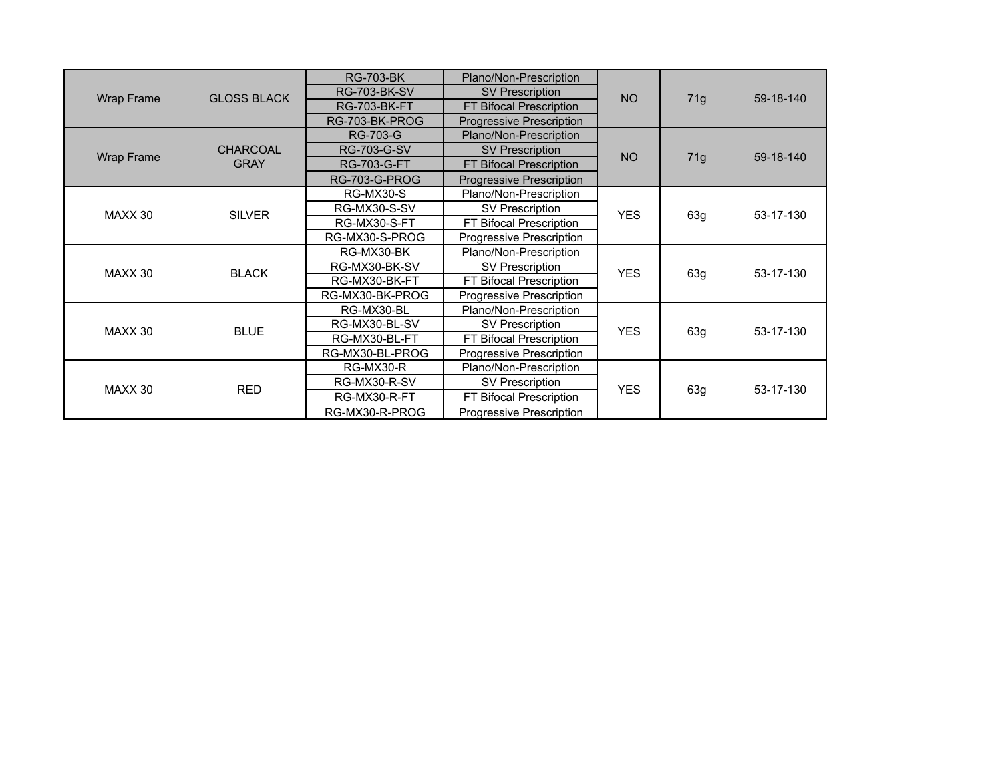| Wrap Frame |                    | <b>RG-703-BK</b>    | Plano/Non-Prescription          |                   |     |           |
|------------|--------------------|---------------------|---------------------------------|-------------------|-----|-----------|
|            | <b>GLOSS BLACK</b> | <b>RG-703-BK-SV</b> | <b>SV Prescription</b>          | <b>NO</b>         |     | 59-18-140 |
|            |                    | <b>RG-703-BK-FT</b> | FT Bifocal Prescription         |                   | 71g |           |
|            |                    | RG-703-BK-PROG      | <b>Progressive Prescription</b> |                   |     |           |
|            |                    | <b>RG-703-G</b>     | Plano/Non-Prescription          |                   |     | 59-18-140 |
| Wrap Frame | <b>CHARCOAL</b>    | <b>RG-703-G-SV</b>  | <b>SV Prescription</b>          | <b>NO</b>         |     |           |
|            | <b>GRAY</b>        | <b>RG-703-G-FT</b>  | FT Bifocal Prescription         |                   | 71g |           |
|            |                    | RG-703-G-PROG       | <b>Progressive Prescription</b> |                   |     |           |
|            |                    | RG-MX30-S           | Plano/Non-Prescription          |                   |     | 53-17-130 |
| MAXX 30    | <b>SILVER</b>      | RG-MX30-S-SV        | SV Prescription                 | <b>YES</b>        | 63g |           |
|            |                    | RG-MX30-S-FT        | FT Bifocal Prescription         |                   |     |           |
|            |                    | RG-MX30-S-PROG      | Progressive Prescription        |                   |     |           |
|            |                    | RG-MX30-BK          | Plano/Non-Prescription          |                   |     | 53-17-130 |
| MAXX 30    | <b>BLACK</b>       | RG-MX30-BK-SV       | SV Prescription                 | <b>YES</b>        |     |           |
|            |                    | RG-MX30-BK-FT       | FT Bifocal Prescription         |                   | 63g |           |
|            |                    | RG-MX30-BK-PROG     | Progressive Prescription        |                   |     |           |
|            |                    | RG-MX30-BL          | Plano/Non-Prescription          |                   |     |           |
| MAXX 30    | <b>BLUE</b>        | RG-MX30-BL-SV       | <b>SV Prescription</b>          | <b>YES</b>        | 63g | 53-17-130 |
|            |                    | RG-MX30-BL-FT       | FT Bifocal Prescription         |                   |     |           |
|            |                    | RG-MX30-BL-PROG     | Progressive Prescription        |                   |     |           |
| MAXX 30    |                    | RG-MX30-R           | Plano/Non-Prescription          | <b>YES</b><br>63g |     | 53-17-130 |
|            |                    | RG-MX30-R-SV        | <b>SV Prescription</b>          |                   |     |           |
|            | <b>RED</b>         | RG-MX30-R-FT        | FT Bifocal Prescription         |                   |     |           |
|            |                    | RG-MX30-R-PROG      | Progressive Prescription        |                   |     |           |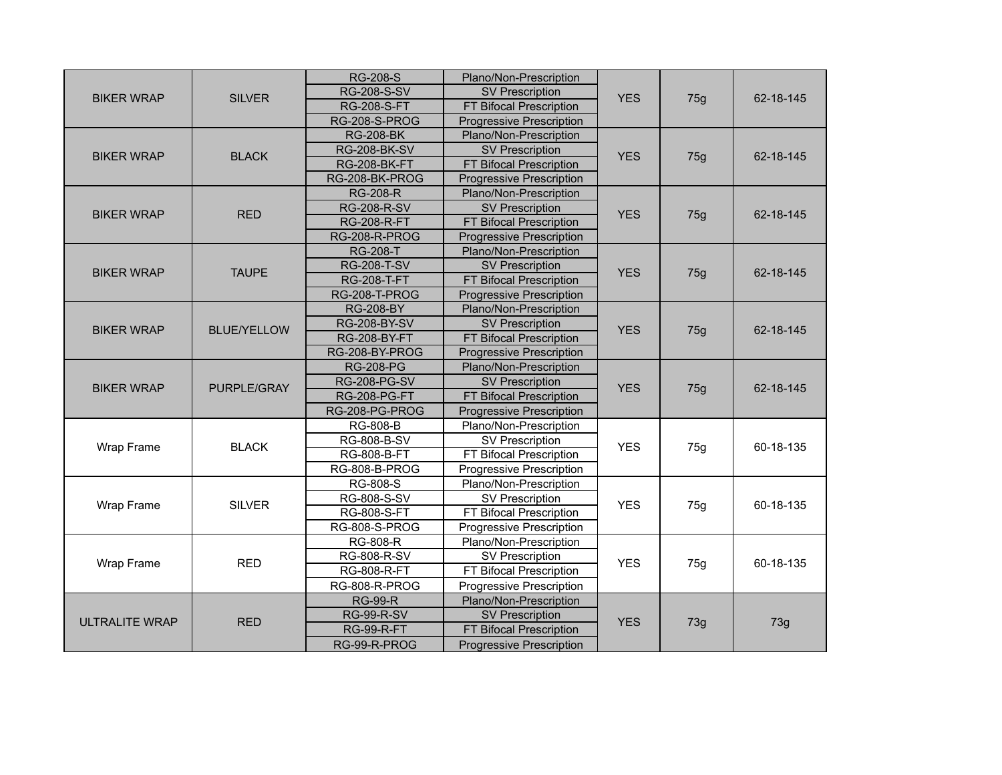| <b>BIKER WRAP</b>     | <b>SILVER</b>      | <b>RG-208-S</b>                               | Plano/Non-Prescription          |            | 75g       | 62-18-145 |
|-----------------------|--------------------|-----------------------------------------------|---------------------------------|------------|-----------|-----------|
|                       |                    | <b>RG-208-S-SV</b>                            | <b>SV Prescription</b>          | <b>YES</b> |           |           |
|                       |                    | <b>RG-208-S-FT</b>                            | FT Bifocal Prescription         |            |           |           |
|                       |                    | RG-208-S-PROG                                 | <b>Progressive Prescription</b> |            |           |           |
|                       |                    | <b>RG-208-BK</b>                              | Plano/Non-Prescription          |            |           |           |
|                       |                    | <b>RG-208-BK-SV</b>                           | <b>SV Prescription</b>          |            | 75g       | 62-18-145 |
| <b>BIKER WRAP</b>     | <b>BLACK</b>       | <b>RG-208-BK-FT</b>                           | FT Bifocal Prescription         | <b>YES</b> |           |           |
|                       |                    | RG-208-BK-PROG                                | <b>Progressive Prescription</b> |            |           |           |
|                       |                    | <b>RG-208-R</b>                               | Plano/Non-Prescription          |            |           | 62-18-145 |
| <b>BIKER WRAP</b>     | <b>RED</b>         | <b>RG-208-R-SV</b>                            | <b>SV Prescription</b>          | <b>YES</b> |           |           |
|                       |                    | <b>RG-208-R-FT</b>                            | FT Bifocal Prescription         |            | 75g       |           |
|                       |                    | RG-208-R-PROG                                 | <b>Progressive Prescription</b> |            |           |           |
|                       |                    | <b>RG-208-T</b>                               | Plano/Non-Prescription          |            |           |           |
| <b>BIKER WRAP</b>     | <b>TAUPE</b>       | <b>RG-208-T-SV</b>                            | <b>SV Prescription</b>          | <b>YES</b> |           | 62-18-145 |
|                       |                    | <b>RG-208-T-FT</b>                            | FT Bifocal Prescription         |            | 75g       |           |
|                       |                    | RG-208-T-PROG                                 | Progressive Prescription        |            |           |           |
|                       |                    | <b>RG-208-BY</b>                              | Plano/Non-Prescription          |            |           |           |
|                       | <b>BLUE/YELLOW</b> | <b>RG-208-BY-SV</b>                           | <b>SV Prescription</b>          | <b>YES</b> | 75g       | 62-18-145 |
| <b>BIKER WRAP</b>     |                    | <b>RG-208-BY-FT</b>                           | FT Bifocal Prescription         |            |           |           |
|                       |                    | RG-208-BY-PROG                                | <b>Progressive Prescription</b> |            |           |           |
|                       |                    | <b>RG-208-PG</b>                              | Plano/Non-Prescription          |            |           |           |
| <b>BIKER WRAP</b>     | PURPLE/GRAY        | <b>RG-208-PG-SV</b>                           | <b>SV Prescription</b>          | <b>YES</b> |           | 62-18-145 |
|                       |                    | <b>RG-208-PG-FT</b>                           | FT Bifocal Prescription         |            | 75g       |           |
|                       |                    | RG-208-PG-PROG                                | <b>Progressive Prescription</b> |            |           |           |
|                       | <b>BLACK</b>       | <b>RG-808-B</b>                               | Plano/Non-Prescription          |            |           | 60-18-135 |
| Wrap Frame            |                    | RG-808-B-SV                                   | <b>SV Prescription</b>          | <b>YES</b> |           |           |
|                       |                    | RG-808-B-FT                                   | FT Bifocal Prescription         |            | 75g       |           |
|                       |                    | RG-808-B-PROG                                 | Progressive Prescription        |            |           |           |
|                       |                    | <b>RG-808-S</b>                               | Plano/Non-Prescription          |            |           |           |
| Wrap Frame            | <b>SILVER</b>      | RG-808-S-SV                                   | <b>SV Prescription</b>          | <b>YES</b> | 75g       | 60-18-135 |
|                       |                    | <b>RG-808-S-FT</b>                            | FT Bifocal Prescription         |            |           |           |
|                       |                    | RG-808-S-PROG                                 | Progressive Prescription        |            |           |           |
| Wrap Frame            |                    | <b>RG-808-R</b>                               | Plano/Non-Prescription          |            |           |           |
|                       | <b>RED</b>         | RG-808-R-SV                                   | <b>SV Prescription</b>          | <b>YES</b> |           |           |
|                       |                    | FT Bifocal Prescription<br><b>RG-808-R-FT</b> |                                 | 75g        | 60-18-135 |           |
|                       |                    | RG-808-R-PROG                                 | Progressive Prescription        |            |           |           |
|                       |                    | <b>RG-99-R</b>                                | Plano/Non-Prescription          | <b>YES</b> |           |           |
|                       |                    | <b>RG-99-R-SV</b>                             | <b>SV Prescription</b>          |            | 73g       | 73g       |
| <b>ULTRALITE WRAP</b> | <b>RED</b>         | <b>RG-99-R-FT</b>                             | FT Bifocal Prescription         |            |           |           |
|                       |                    | RG-99-R-PROG                                  | <b>Progressive Prescription</b> |            |           |           |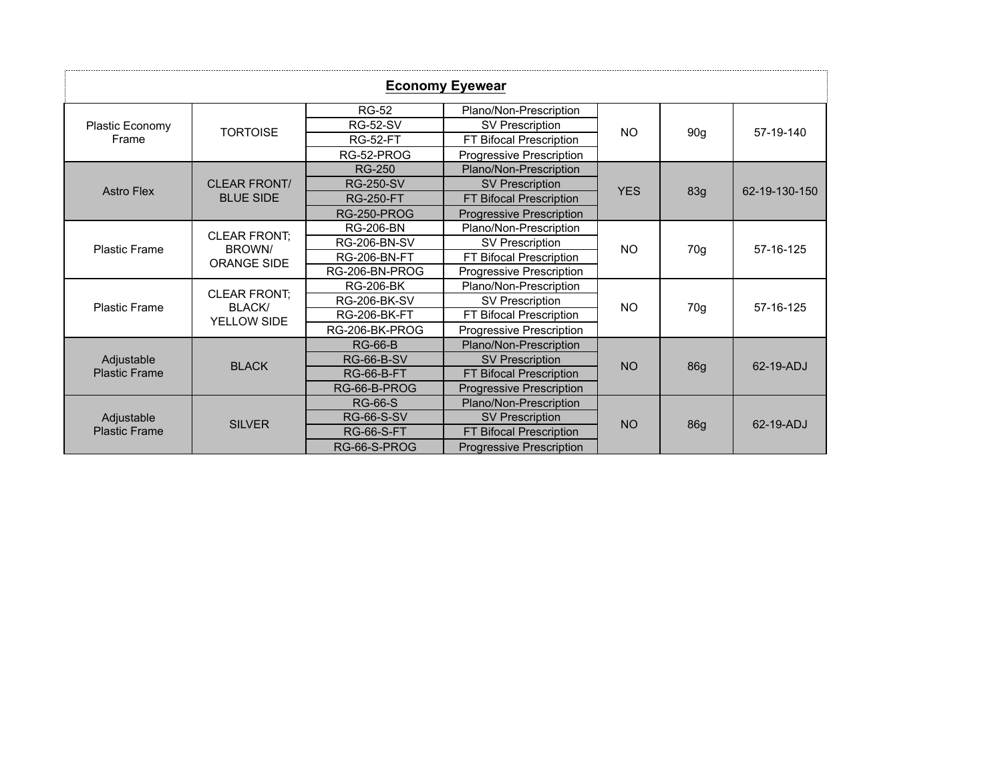| <b>Economy Eyewear</b>             |                                                     |                     |                                          |            |                 |               |  |  |
|------------------------------------|-----------------------------------------------------|---------------------|------------------------------------------|------------|-----------------|---------------|--|--|
|                                    |                                                     | <b>RG-52</b>        | Plano/Non-Prescription                   | <b>NO</b>  | 90 <sub>g</sub> | 57-19-140     |  |  |
| Plastic Economy                    | <b>TORTOISE</b>                                     | <b>RG-52-SV</b>     | <b>SV Prescription</b>                   |            |                 |               |  |  |
| Frame                              |                                                     | <b>RG-52-FT</b>     | <b>FT</b><br><b>Bifocal Prescription</b> |            |                 |               |  |  |
|                                    |                                                     | RG-52-PROG          | Progressive Prescription                 |            |                 |               |  |  |
|                                    |                                                     | <b>RG-250</b>       | Plano/Non-Prescription                   |            | 83g             | 62-19-130-150 |  |  |
| <b>Astro Flex</b>                  | <b>CLEAR FRONT/</b>                                 | <b>RG-250-SV</b>    | <b>SV Prescription</b>                   | <b>YES</b> |                 |               |  |  |
|                                    | <b>BLUE SIDE</b>                                    | <b>RG-250-FT</b>    | FT Bifocal Prescription                  |            |                 |               |  |  |
|                                    |                                                     | <b>RG-250-PROG</b>  | <b>Progressive Prescription</b>          |            |                 |               |  |  |
|                                    | <b>CLEAR FRONT:</b><br>BROWN/<br><b>ORANGE SIDE</b> | <b>RG-206-BN</b>    | Plano/Non-Prescription                   | <b>NO</b>  | 70g             | 57-16-125     |  |  |
| <b>Plastic Frame</b>               |                                                     | <b>RG-206-BN-SV</b> | SV Prescription                          |            |                 |               |  |  |
|                                    |                                                     | <b>RG-206-BN-FT</b> | FT Bifocal Prescription                  |            |                 |               |  |  |
|                                    |                                                     | RG-206-BN-PROG      | Progressive Prescription                 |            |                 |               |  |  |
|                                    | <b>CLEAR FRONT;</b><br><b>BLACK/</b>                | <b>RG-206-BK</b>    | Plano/Non-Prescription                   | <b>NO</b>  |                 | 57-16-125     |  |  |
| <b>Plastic Frame</b>               |                                                     | <b>RG-206-BK-SV</b> | <b>SV Prescription</b>                   |            |                 |               |  |  |
|                                    | YELLOW SIDE                                         | <b>RG-206-BK-FT</b> | <b>Bifocal Prescription</b><br>FT.       |            | 70g             |               |  |  |
|                                    |                                                     | RG-206-BK-PROG      | Progressive Prescription                 |            |                 |               |  |  |
|                                    |                                                     | <b>RG-66-B</b>      | Plano/Non-Prescription                   |            |                 | 62-19-ADJ     |  |  |
| Adjustable                         | <b>BLACK</b>                                        | <b>RG-66-B-SV</b>   | <b>SV Prescription</b>                   | <b>NO</b>  |                 |               |  |  |
| <b>Plastic Frame</b>               |                                                     | <b>RG-66-B-FT</b>   | FT Bifocal Prescription                  |            | 86g             |               |  |  |
|                                    |                                                     | RG-66-B-PROG        | <b>Progressive Prescription</b>          |            |                 |               |  |  |
| Adjustable<br><b>Plastic Frame</b> |                                                     | <b>RG-66-S</b>      | Plano/Non-Prescription                   |            |                 |               |  |  |
|                                    | <b>SILVER</b>                                       | <b>RG-66-S-SV</b>   | <b>SV Prescription</b>                   | <b>NO</b>  |                 | 62-19-ADJ     |  |  |
|                                    |                                                     | <b>RG-66-S-FT</b>   | <b>FT Bifocal Prescription</b>           |            | 86g             |               |  |  |
|                                    |                                                     | RG-66-S-PROG        | <b>Progressive Prescription</b>          |            |                 |               |  |  |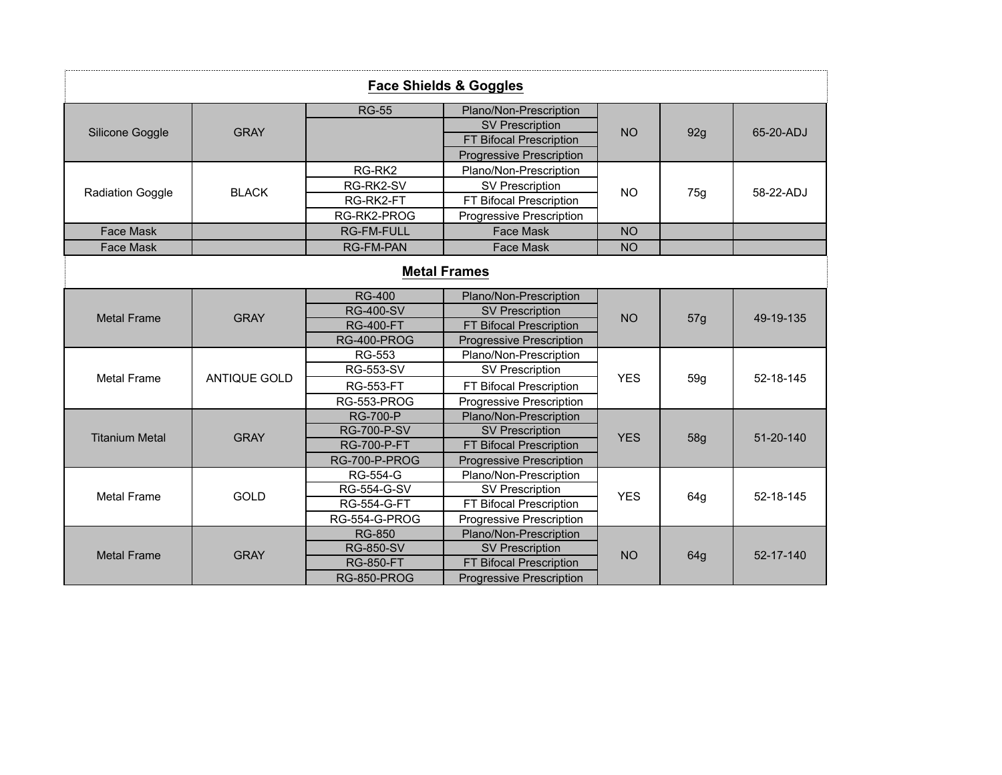|                         |              |                    | <b>Face Shields &amp; Goggles</b> |            |     |           |
|-------------------------|--------------|--------------------|-----------------------------------|------------|-----|-----------|
|                         |              | <b>RG-55</b>       | Plano/Non-Prescription            | <b>NO</b>  |     | 65-20-ADJ |
|                         |              |                    | <b>SV Prescription</b>            |            |     |           |
| Silicone Goggle         | <b>GRAY</b>  |                    | FT Bifocal Prescription           |            | 92g |           |
|                         |              |                    | <b>Progressive Prescription</b>   |            |     |           |
|                         |              | RG-RK2             | Plano/Non-Prescription            |            |     | 58-22-ADJ |
|                         |              | RG-RK2-SV          | <b>SV Prescription</b>            |            |     |           |
| <b>Radiation Goggle</b> | <b>BLACK</b> | RG-RK2-FT          | FT Bifocal Prescription           | <b>NO</b>  | 75g |           |
|                         |              | RG-RK2-PROG        | Progressive Prescription          |            |     |           |
| <b>Face Mask</b>        |              | <b>RG-FM-FULL</b>  | Face Mask                         | <b>NO</b>  |     |           |
| <b>Face Mask</b>        |              | <b>RG-FM-PAN</b>   | Face Mask                         | <b>NO</b>  |     |           |
|                         |              |                    | <b>Metal Frames</b>               |            |     |           |
| <b>Metal Frame</b>      | <b>GRAY</b>  | <b>RG-400</b>      | Plano/Non-Prescription            | <b>NO</b>  | 57g | 49-19-135 |
|                         |              | <b>RG-400-SV</b>   | <b>SV Prescription</b>            |            |     |           |
|                         |              | <b>RG-400-FT</b>   | FT Bifocal Prescription           |            |     |           |
|                         |              | <b>RG-400-PROG</b> | <b>Progressive Prescription</b>   |            |     |           |
|                         |              | <b>RG-553</b>      | Plano/Non-Prescription            |            | 59g |           |
| <b>Metal Frame</b>      | ANTIQUE GOLD | <b>RG-553-SV</b>   | <b>SV Prescription</b>            | <b>YES</b> |     | 52-18-145 |
|                         |              | <b>RG-553-FT</b>   | FT Bifocal Prescription           |            |     |           |
|                         |              | RG-553-PROG        | <b>Progressive Prescription</b>   |            |     |           |
|                         |              | <b>RG-700-P</b>    | Plano/Non-Prescription            |            |     |           |
| <b>Titanium Metal</b>   | <b>GRAY</b>  | <b>RG-700-P-SV</b> | <b>SV Prescription</b>            | <b>YES</b> | 58g | 51-20-140 |
|                         |              | <b>RG-700-P-FT</b> | FT Bifocal Prescription           |            |     |           |
|                         |              | RG-700-P-PROG      | <b>Progressive Prescription</b>   |            |     |           |
|                         |              | RG-554-G           | Plano/Non-Prescription            |            |     |           |
| <b>Metal Frame</b>      | <b>GOLD</b>  | RG-554-G-SV        | <b>SV Prescription</b>            | <b>YES</b> | 64g | 52-18-145 |
|                         |              | <b>RG-554-G-FT</b> | FT Bifocal Prescription           |            |     |           |
|                         |              | RG-554-G-PROG      | Progressive Prescription          |            |     |           |
|                         |              | <b>RG-850</b>      | Plano/Non-Prescription            |            |     |           |
| <b>Metal Frame</b>      | <b>GRAY</b>  | <b>RG-850-SV</b>   | <b>SV Prescription</b>            | <b>NO</b>  | 64g | 52-17-140 |
|                         |              | <b>RG-850-FT</b>   | FT Bifocal Prescription           |            |     |           |
|                         |              | RG-850-PROG        | <b>Progressive Prescription</b>   |            |     |           |